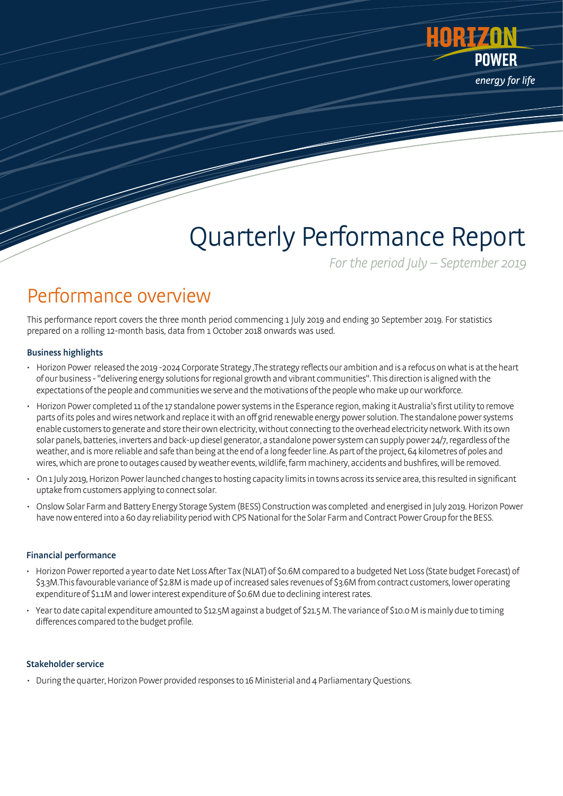

# Quarterly Performance Report

For the period  $|$ uly – September 2019

# Performance overview

This performance report covers the three month period commencing 1 July 2019 and ending 30 September 2019. For statistics prepared on a rolling 12-month basis, data from 1 October 2018 onwards was used.

### Business highlights

- Horizon Power released the 2019 -2024 Corporate Strategy ,The strategy reflects our ambition and is a refocus on what is at the heart of our business -"delivering energy solutions for regional growth and vibrant communities". This direction is aligned with the expectations ofthe people and communities we serve and the motivations of the people who make up our workforce.
- Horizon Power completed 11 of the 17 standalone power systems in the Esperance region, making it Australia's first utility to remove parts of its poles and wires network and replace it with an off grid renewable energy power solution. The standalone power systems enable customers to generate and store their own electricity, without connecting to the overhead electricity network. With its own solar panels, batteries, inverters and back-up diesel generator, a standalone power system can supply power 24/7, regardless of the weather, and is more reliable and safe than being at the end of a long feeder line. As part of the project, 64 kilometres of poles and wires, which are prone to outages caused by weather events, wildlife, farm machinery, accidents and bushfires, will be removed.
- On 1 July 2019, Horizon Power launched changes to hosting capacity limits in towns across its service area, this resulted in significant uptake from customers applying to connect solar.
- Onslow Solar Farm and Battery Energy Storage System (BESS) Construction was completed and energised in July 2019. Horizon Power have now entered into a 60 day reliability period with CPS National for the Solar Farm and Contract Power Group for the BESS.

### Financial performance

- Horizon Power reported a year to date Net Loss After Tax (NLAT) of \$0.6M compared to a budgeted Net Loss (State budget Forecast) of \$3.3M.This favourable variance of\$2.8Mis madeup of increased sales revenues of \$3.6M from contract customers, lower operating expenditure of \$1.1M and lower interest expenditure of \$0.6M due to declining interest rates.
- Year to date capital expenditure amounted to \$12.5M against a budget of \$21.5 M. The variance of \$10.0 M is mainly due to timing differences compared to the budget profile.

### Stakeholder service

• During the quarter,Horizon Power provided responses to 16 Ministerial and 4 Parliamentary Questions.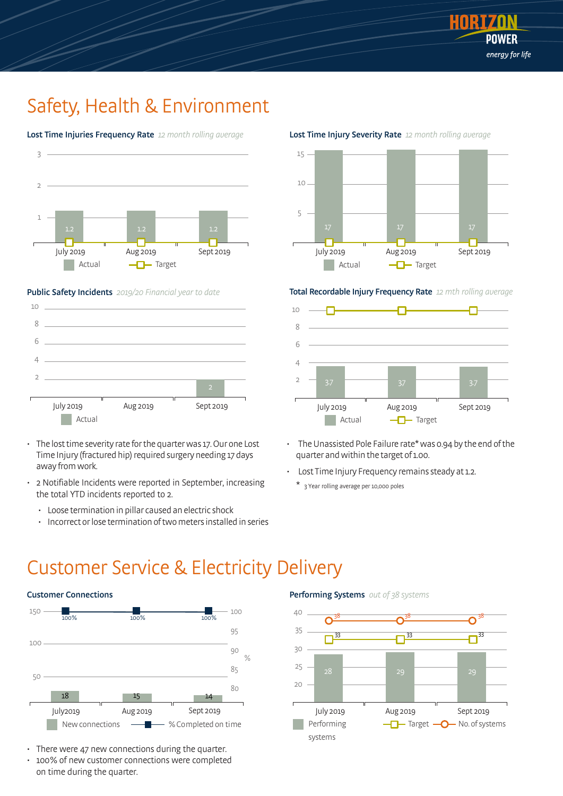

# Safety, Health & Environment





### Public Safety Incidents 2019/20 Financial year to date



- The losttime severity rate forthe quarter was 17. Our one Lost Time Injury (fractured hip) required surgery needing 17 days away fromwork.
- 2 Notifiable Incidents were reported in September, increasing the total YTD incidents reported to 2.
	- Loose termination in pillar caused an electric shock
	- Incorrect orlose termination of two meters installed in series

### Lost Time Injury Severity Rate 12 month rolling average



#### Total Recordable Injury Frequency Rate 12 mth rolling average



- The Unassisted Pole Failure rate\* was 0.94 by the end of the quarter and within the target of 1.00.
- Lost Time Injury Frequency remains steady at 1.2.
	- \* 3 Year rolling average per 10,000 poles

### Customer Service & Electricity Delivery



- There were 47 new connections during the quarter.
- 100% of new customer connections were completed on time during the quarter.

### Performing Systems out of 38 systems

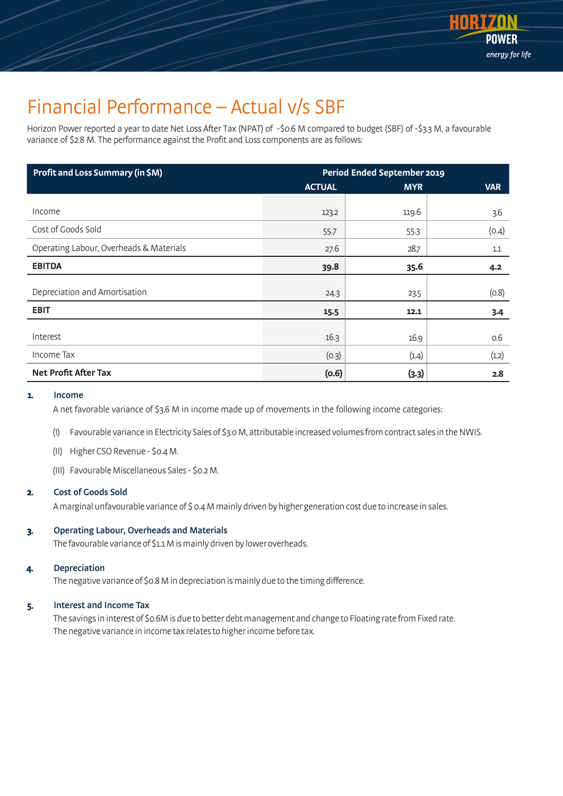

# Financial Performance – Actual v/s SBF

Horizon Power reported a year to date Net Loss After Tax (NPAT) of -\$0.6 M compared to budget (SBF) of -\$3.3 M, a favourable variance of \$2.8 M. The performance against the Profit and Loss components are as follows:

| <b>Profit and Loss Summary (in \$M)</b> | <b>Period Ended September 2019</b> |            |            |
|-----------------------------------------|------------------------------------|------------|------------|
|                                         | <b>ACTUAL</b>                      | <b>MYR</b> | <b>VAR</b> |
|                                         |                                    |            |            |
| Income                                  | 123.2                              | 119.6      | 3.6        |
| Cost of Goods Sold                      | 55.7                               | 55.3       | (0.4)      |
| Operating Labour, Overheads & Materials | 27.6                               | 28.7       | 1.1        |
| <b>EBITDA</b>                           | 39.8                               | 35.6       | 4.2        |
|                                         |                                    |            |            |
| Depreciation and Amortisation           | 24.3                               | 23.5       | (0.8)      |
| <b>EBIT</b>                             | 15.5                               | 12.1       | $3-4$      |
|                                         |                                    |            |            |
| Interest                                | 16.3                               | 16.9       | 0.6        |
| Income Tax                              | (0.3)                              | (1.4)      | (1.2)      |
| <b>Net Profit After Tax</b>             | (0.6)                              | (3.3)      | 2.8        |

### 1. Income

A net favorable variance of \$3.6 M in income made up of movements in the following income categories:

(I) Favourable variance in Electricity Sales of \$3.0 M, attributable increased volumes from contract sales in the NWIS.

- (II) HigherCSORevenue \$0.4 M.
- (III) Favourable Miscellaneous Sales \$0.2 M.

### 2. Cost of Goods Sold

A marginal unfavourable variance of \$ 0.4 M mainly driven by higher generation cost due to increase in sales.

### 3. Operating Labour, Overheads and Materials

The favourable variance of \$1.1 M is mainly driven by lower overheads.

### 4. Depreciation

The negative variance of \$0.8 M in depreciation is mainly due to the timing difference.

### 5. Interest and Income Tax

The savings in interest of \$0.6M is due to better debt management and change to Floating rate from Fixed rate. The negative variance in income tax relates to higher income before tax.